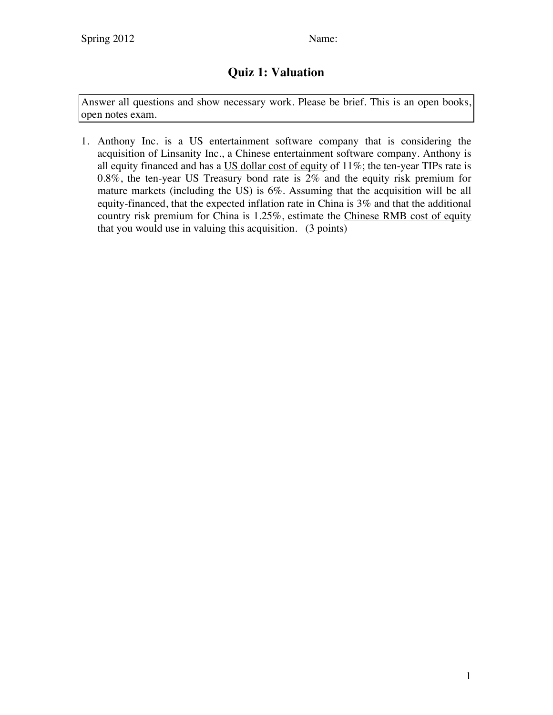## **Quiz 1: Valuation**

Answer all questions and show necessary work. Please be brief. This is an open books, open notes exam.

1. Anthony Inc. is a US entertainment software company that is considering the acquisition of Linsanity Inc., a Chinese entertainment software company. Anthony is all equity financed and has a US dollar cost of equity of 11%; the ten-year TIPs rate is 0.8%, the ten-year US Treasury bond rate is 2% and the equity risk premium for mature markets (including the US) is 6%. Assuming that the acquisition will be all equity-financed, that the expected inflation rate in China is 3% and that the additional country risk premium for China is 1.25%, estimate the Chinese RMB cost of equity that you would use in valuing this acquisition. (3 points)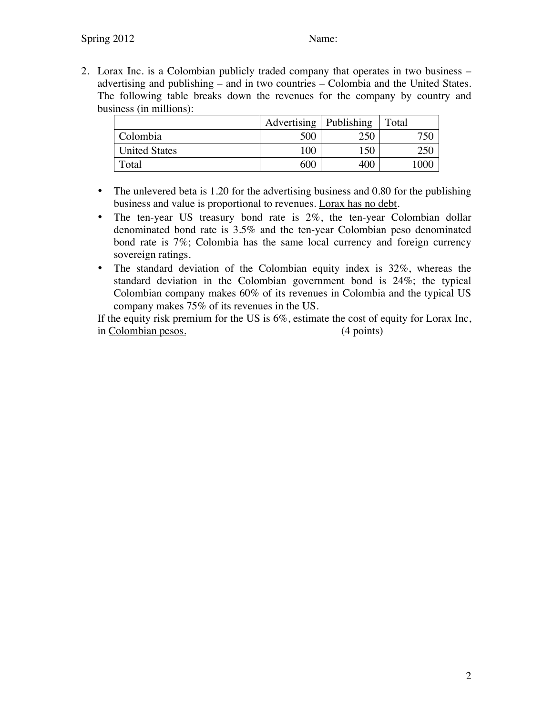2. Lorax Inc. is a Colombian publicly traded company that operates in two business – advertising and publishing – and in two countries – Colombia and the United States. The following table breaks down the revenues for the company by country and business (in millions):

|                      | Advertising | Publishing | Total |
|----------------------|-------------|------------|-------|
| Colombia             | 500         | 250        | 751   |
| <b>United States</b> | 100         | 150        |       |
| Total                | 600         | 400        | 1000  |

- The unlevered beta is 1.20 for the advertising business and 0.80 for the publishing business and value is proportional to revenues. Lorax has no debt.
- The ten-year US treasury bond rate is 2%, the ten-year Colombian dollar denominated bond rate is 3.5% and the ten-year Colombian peso denominated bond rate is 7%; Colombia has the same local currency and foreign currency sovereign ratings.
- The standard deviation of the Colombian equity index is 32%, whereas the standard deviation in the Colombian government bond is 24%; the typical Colombian company makes 60% of its revenues in Colombia and the typical US company makes 75% of its revenues in the US.

If the equity risk premium for the US is 6%, estimate the cost of equity for Lorax Inc, in Colombian pesos. (4 points)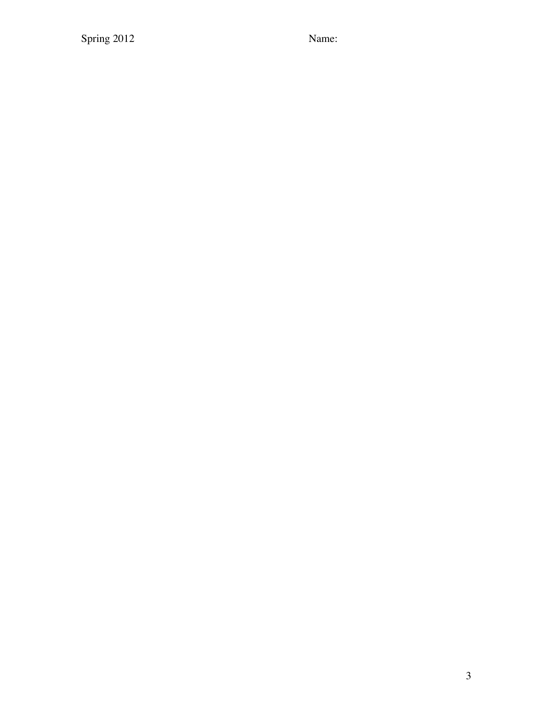Spring 2012 Name: